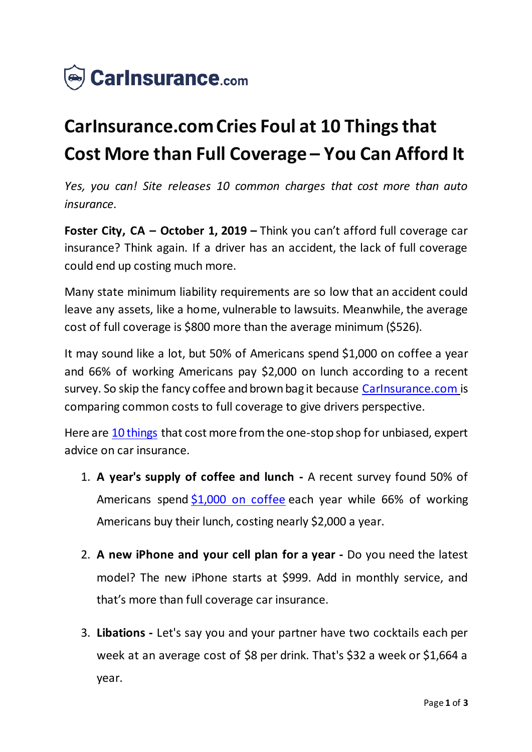

## **CarInsurance.com Cries Foul at 10 Things that Cost More than Full Coverage – You Can Afford It**

*Yes, you can! Site releases 10 common charges that cost more than auto insurance.*

**Foster City, CA – October 1, 2019 –** Think you can't afford full coverage car insurance? Think again. If a driver has an accident, the lack of full coverage could end up costing much more.

Many state minimum liability requirements are so low that an accident could leave any assets, like a home, vulnerable to lawsuits. Meanwhile, the average cost of full coverage is \$800 more than the average minimum (\$526).

It may sound like a lot, but 50% of Americans spend \$1,000 on coffee a year and 66% of working Americans pay \$2,000 on lunch according to a recent survey. So skip the fancy coffee and brown bag it because [CarInsurance.com](https://www.carinsurance.com/) is comparing common costs to full coverage to give drivers perspective.

Here are [10 things](https://www.carinsurance.com/Articles/Common-things-cost-more-than-full-coverage-car-insurance) that cost more from the one-stop shop for unbiased, expert advice on car insurance.

- 1. **A year's supply of coffee and lunch -** A recent survey found 50% of Americans spend  $$1,000$  on coffee each year while 66% of working Americans buy their lunch, costing nearly \$2,000 a year.
- 2. **A new iPhone and your cell plan for a year -** Do you need the latest model? The new iPhone starts at \$999. Add in monthly service, and that's more than full coverage car insurance.
- 3. **Libations -** Let's say you and your partner have two cocktails each per week at an average cost of \$8 per drink. That's \$32 a week or \$1,664 a year.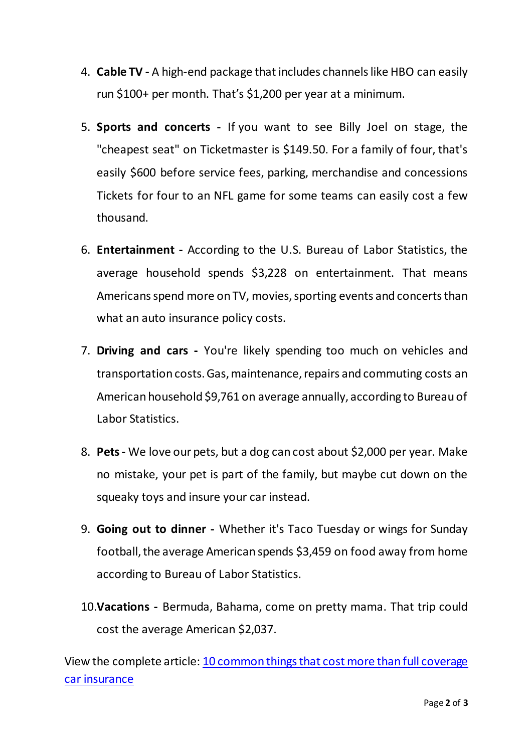- 4. **Cable TV -** A high-end package that includes channels like HBO can easily run \$100+ per month. That's \$1,200 per year at a minimum.
- 5. **Sports and concerts -** If you want to see Billy Joel on stage, the "cheapest seat" on Ticketmaster is \$149.50. For a family of four, that's easily \$600 before service fees, parking, merchandise and concessions Tickets for four to an NFL game for some teams can easily cost a few thousand.
- 6. **Entertainment -** According to the U.S. Bureau of Labor Statistics, the average household spends \$3,228 on entertainment. That means Americans spend more on TV, movies, sporting events and concerts than what an auto insurance policy costs.
- 7. **Driving and cars -** You're likely spending too much on vehicles and transportation costs. Gas, maintenance, repairs and commuting costs an American household \$9,761 on average annually, according to Bureau of Labor Statistics.
- 8. **Pets -** We love our pets, but a dog can cost about \$2,000 per year. Make no mistake, your pet is part of the family, but maybe cut down on the squeaky toys and insure your car instead.
- 9. **Going out to dinner -** Whether it's Taco Tuesday or wings for Sunday football, the average American spends \$3,459 on food away from home according to Bureau of Labor Statistics.
- 10.**Vacations -** Bermuda, Bahama, come on pretty mama. That trip could cost the average American \$2,037.

View the complete article: [10 common things that cost more than full coverage](https://www.carinsurance.com/Articles/Common-things-cost-more-than-full-coverage-car-insurance)  [car insurance](https://www.carinsurance.com/Articles/Common-things-cost-more-than-full-coverage-car-insurance)